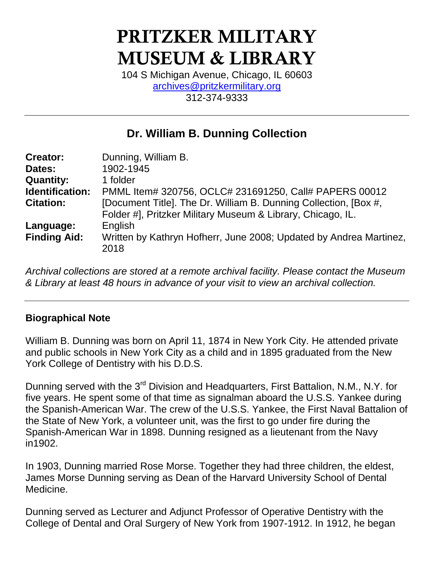# **PRITZKER MILITARY MUSEUM & LIBRARY**

104 S Michigan Avenue, Chicago, IL 60603 [archives@pritzkermilitary.org](mailto:archives@pritzkermilitary.org) 312-374-9333

# **Dr. William B. Dunning Collection**

| <b>Creator:</b>     | Dunning, William B.                                                |
|---------------------|--------------------------------------------------------------------|
| Dates:              | 1902-1945                                                          |
| <b>Quantity:</b>    | 1 folder                                                           |
| Identification:     | PMML Item# 320756, OCLC# 231691250, Call# PAPERS 00012             |
| <b>Citation:</b>    | [Document Title]. The Dr. William B. Dunning Collection, [Box #,   |
|                     | Folder #], Pritzker Military Museum & Library, Chicago, IL.        |
| Language:           | English                                                            |
| <b>Finding Aid:</b> | Written by Kathryn Hofherr, June 2008; Updated by Andrea Martinez, |
|                     | 2018                                                               |

*Archival collections are stored at a remote archival facility. Please contact the Museum & Library at least 48 hours in advance of your visit to view an archival collection.*

#### **Biographical Note**

William B. Dunning was born on April 11, 1874 in New York City. He attended private and public schools in New York City as a child and in 1895 graduated from the New York College of Dentistry with his D.D.S.

Dunning served with the 3<sup>rd</sup> Division and Headquarters, First Battalion, N.M., N.Y. for five years. He spent some of that time as signalman aboard the U.S.S. Yankee during the Spanish-American War. The crew of the U.S.S. Yankee, the First Naval Battalion of the State of New York, a volunteer unit, was the first to go under fire during the Spanish-American War in 1898. Dunning resigned as a lieutenant from the Navy in1902.

In 1903, Dunning married Rose Morse. Together they had three children, the eldest, James Morse Dunning serving as Dean of the Harvard University School of Dental Medicine.

Dunning served as Lecturer and Adjunct Professor of Operative Dentistry with the College of Dental and Oral Surgery of New York from 1907-1912. In 1912, he began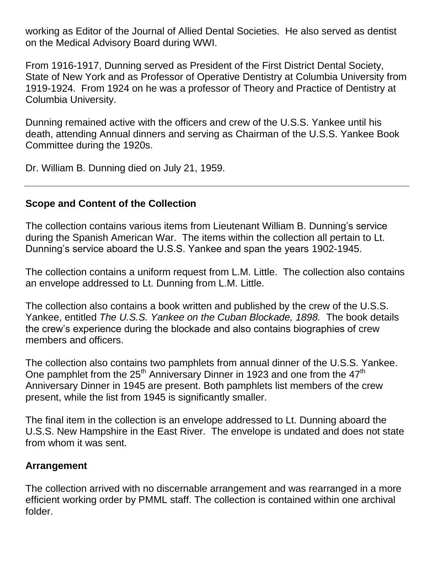working as Editor of the Journal of Allied Dental Societies. He also served as dentist on the Medical Advisory Board during WWI.

From 1916-1917, Dunning served as President of the First District Dental Society, State of New York and as Professor of Operative Dentistry at Columbia University from 1919-1924. From 1924 on he was a professor of Theory and Practice of Dentistry at Columbia University.

Dunning remained active with the officers and crew of the U.S.S. Yankee until his death, attending Annual dinners and serving as Chairman of the U.S.S. Yankee Book Committee during the 1920s.

Dr. William B. Dunning died on July 21, 1959.

#### **Scope and Content of the Collection**

The collection contains various items from Lieutenant William B. Dunning's service during the Spanish American War. The items within the collection all pertain to Lt. Dunning's service aboard the U.S.S. Yankee and span the years 1902-1945.

The collection contains a uniform request from L.M. Little. The collection also contains an envelope addressed to Lt. Dunning from L.M. Little.

The collection also contains a book written and published by the crew of the U.S.S. Yankee, entitled *The U.S.S. Yankee on the Cuban Blockade, 1898.* The book details the crew's experience during the blockade and also contains biographies of crew members and officers.

The collection also contains two pamphlets from annual dinner of the U.S.S. Yankee. One pamphlet from the 25<sup>th</sup> Anniversary Dinner in 1923 and one from the 47<sup>th</sup> Anniversary Dinner in 1945 are present. Both pamphlets list members of the crew present, while the list from 1945 is significantly smaller.

The final item in the collection is an envelope addressed to Lt. Dunning aboard the U.S.S. New Hampshire in the East River. The envelope is undated and does not state from whom it was sent.

#### **Arrangement**

The collection arrived with no discernable arrangement and was rearranged in a more efficient working order by PMML staff. The collection is contained within one archival folder.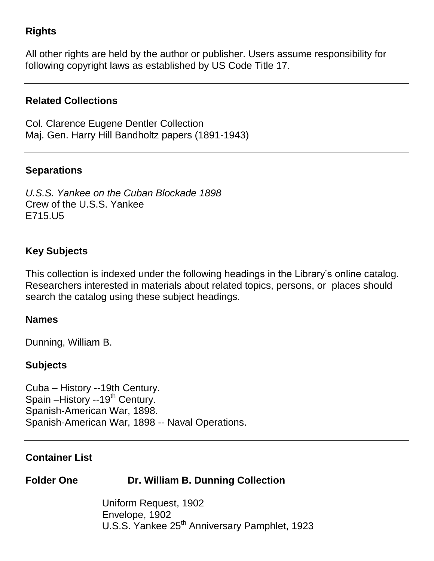### **Rights**

All other rights are held by the author or publisher. Users assume responsibility for following copyright laws as established by US Code Title 17.

#### **Related Collections**

Col. Clarence Eugene Dentler Collection Maj. Gen. Harry Hill Bandholtz papers (1891-1943)

#### **Separations**

*U.S.S. Yankee on the Cuban Blockade 1898* Crew of the U.S.S. Yankee E715.U5

#### **Key Subjects**

This collection is indexed under the following headings in the Library's online catalog. Researchers interested in materials about related topics, persons, or places should search the catalog using these subject headings.

#### **Names**

Dunning, William B.

#### **Subjects**

Cuba – History --19th Century. Spain –History --19<sup>th</sup> Century. Spanish-American War, 1898. Spanish-American War, 1898 -- Naval Operations.

#### **Container List**

## **Folder One Dr. William B. Dunning Collection**

Uniform Request, 1902 Envelope, 1902 U.S.S. Yankee 25<sup>th</sup> Anniversary Pamphlet, 1923